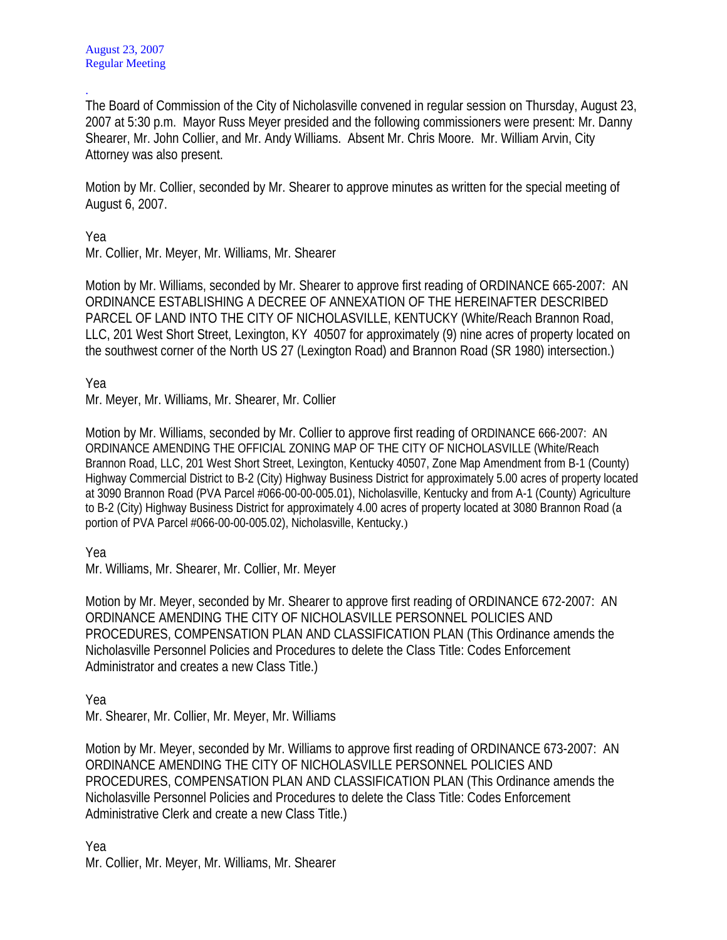. The Board of Commission of the City of Nicholasville convened in regular session on Thursday, August 23, 2007 at 5:30 p.m. Mayor Russ Meyer presided and the following commissioners were present: Mr. Danny Shearer, Mr. John Collier, and Mr. Andy Williams. Absent Mr. Chris Moore. Mr. William Arvin, City Attorney was also present.

Motion by Mr. Collier, seconded by Mr. Shearer to approve minutes as written for the special meeting of August 6, 2007.

Yea

Mr. Collier, Mr. Meyer, Mr. Williams, Mr. Shearer

Motion by Mr. Williams, seconded by Mr. Shearer to approve first reading of ORDINANCE 665-2007: AN ORDINANCE ESTABLISHING A DECREE OF ANNEXATION OF THE HEREINAFTER DESCRIBED PARCEL OF LAND INTO THE CITY OF NICHOLASVILLE, KENTUCKY (White/Reach Brannon Road, LLC, 201 West Short Street, Lexington, KY 40507 for approximately (9) nine acres of property located on the southwest corner of the North US 27 (Lexington Road) and Brannon Road (SR 1980) intersection.)

Yea

Mr. Meyer, Mr. Williams, Mr. Shearer, Mr. Collier

Motion by Mr. Williams, seconded by Mr. Collier to approve first reading of ORDINANCE 666-2007: AN ORDINANCE AMENDING THE OFFICIAL ZONING MAP OF THE CITY OF NICHOLASVILLE (White/Reach Brannon Road, LLC, 201 West Short Street, Lexington, Kentucky 40507, Zone Map Amendment from B-1 (County) Highway Commercial District to B-2 (City) Highway Business District for approximately 5.00 acres of property located at 3090 Brannon Road (PVA Parcel #066-00-00-005.01), Nicholasville, Kentucky and from A-1 (County) Agriculture to B-2 (City) Highway Business District for approximately 4.00 acres of property located at 3080 Brannon Road (a portion of PVA Parcel #066-00-00-005.02), Nicholasville, Kentucky.)

Yea

Mr. Williams, Mr. Shearer, Mr. Collier, Mr. Meyer

Motion by Mr. Meyer, seconded by Mr. Shearer to approve first reading of ORDINANCE 672-2007: AN ORDINANCE AMENDING THE CITY OF NICHOLASVILLE PERSONNEL POLICIES AND PROCEDURES, COMPENSATION PLAN AND CLASSIFICATION PLAN (This Ordinance amends the Nicholasville Personnel Policies and Procedures to delete the Class Title: Codes Enforcement Administrator and creates a new Class Title.)

Yea

Mr. Shearer, Mr. Collier, Mr. Meyer, Mr. Williams

Motion by Mr. Meyer, seconded by Mr. Williams to approve first reading of ORDINANCE 673-2007: AN ORDINANCE AMENDING THE CITY OF NICHOLASVILLE PERSONNEL POLICIES AND PROCEDURES, COMPENSATION PLAN AND CLASSIFICATION PLAN (This Ordinance amends the Nicholasville Personnel Policies and Procedures to delete the Class Title: Codes Enforcement Administrative Clerk and create a new Class Title.)

Yea Mr. Collier, Mr. Meyer, Mr. Williams, Mr. Shearer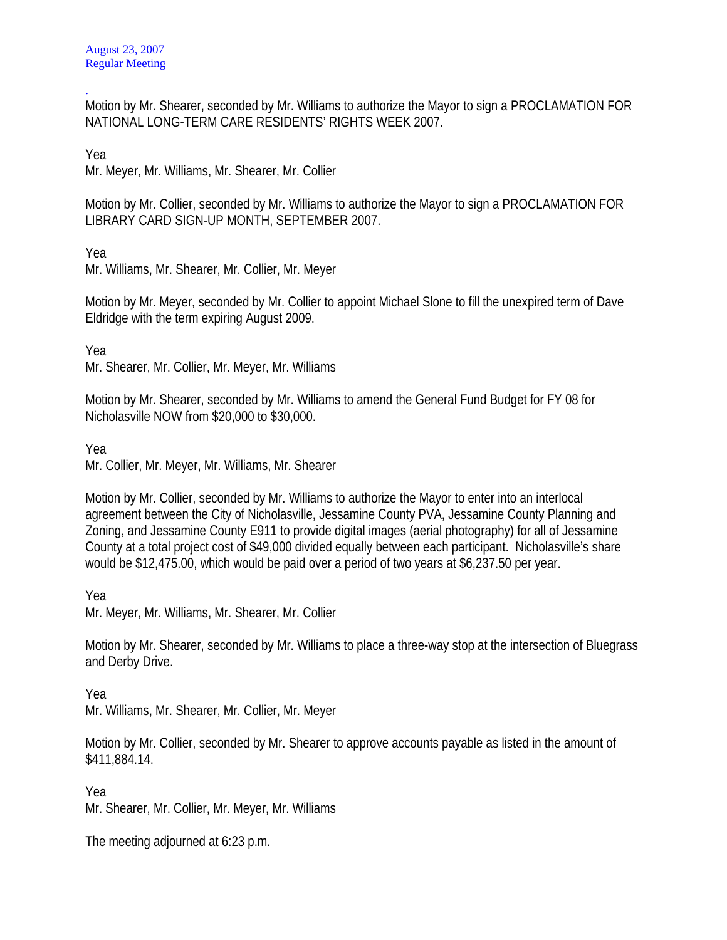. Motion by Mr. Shearer, seconded by Mr. Williams to authorize the Mayor to sign a PROCLAMATION FOR NATIONAL LONG-TERM CARE RESIDENTS' RIGHTS WEEK 2007.

Yea

Mr. Meyer, Mr. Williams, Mr. Shearer, Mr. Collier

Motion by Mr. Collier, seconded by Mr. Williams to authorize the Mayor to sign a PROCLAMATION FOR LIBRARY CARD SIGN-UP MONTH, SEPTEMBER 2007.

Yea

Mr. Williams, Mr. Shearer, Mr. Collier, Mr. Meyer

Motion by Mr. Meyer, seconded by Mr. Collier to appoint Michael Slone to fill the unexpired term of Dave Eldridge with the term expiring August 2009.

Yea

Mr. Shearer, Mr. Collier, Mr. Meyer, Mr. Williams

Motion by Mr. Shearer, seconded by Mr. Williams to amend the General Fund Budget for FY 08 for Nicholasville NOW from \$20,000 to \$30,000.

Yea

Mr. Collier, Mr. Meyer, Mr. Williams, Mr. Shearer

Motion by Mr. Collier, seconded by Mr. Williams to authorize the Mayor to enter into an interlocal agreement between the City of Nicholasville, Jessamine County PVA, Jessamine County Planning and Zoning, and Jessamine County E911 to provide digital images (aerial photography) for all of Jessamine County at a total project cost of \$49,000 divided equally between each participant. Nicholasville's share would be \$12,475.00, which would be paid over a period of two years at \$6,237.50 per year.

Yea

Mr. Meyer, Mr. Williams, Mr. Shearer, Mr. Collier

Motion by Mr. Shearer, seconded by Mr. Williams to place a three-way stop at the intersection of Bluegrass and Derby Drive.

Yea

Mr. Williams, Mr. Shearer, Mr. Collier, Mr. Meyer

Motion by Mr. Collier, seconded by Mr. Shearer to approve accounts payable as listed in the amount of \$411,884.14.

Yea

Mr. Shearer, Mr. Collier, Mr. Meyer, Mr. Williams

The meeting adjourned at 6:23 p.m.